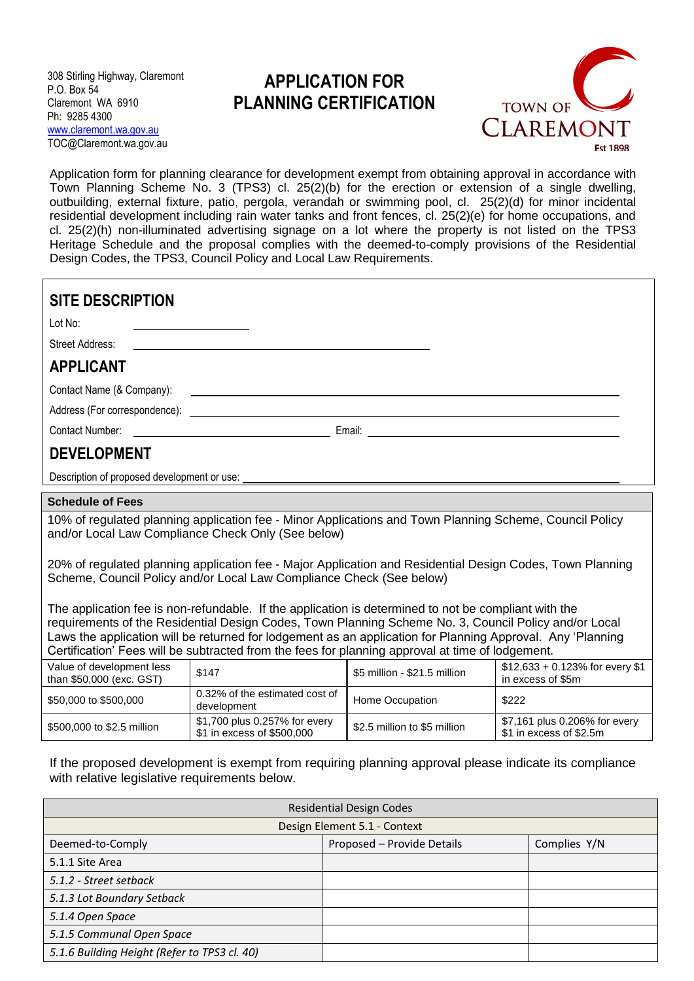308 Stirling Highway, Claremont P.O. Box 54 Claremont WA 6910 Ph: 9285 4300 [www.claremont.wa.gov.au](http://www.claremont.wa.gov.au/) TOC@Claremont.wa.gov.au

## **APPLICATION FOR PLANNING CERTIFICATION**



Application form for planning clearance for development exempt from obtaining approval in accordance with Town Planning Scheme No. 3 (TPS3) cl. 25(2)(b) for the erection or extension of a single dwelling, outbuilding, external fixture, patio, pergola, verandah or swimming pool, cl. 25(2)(d) for minor incidental residential development including rain water tanks and front fences, cl. 25(2)(e) for home occupations, and cl. 25(2)(h) non-illuminated advertising signage on a lot where the property is not listed on the TPS3 Heritage Schedule and the proposal complies with the deemed-to-comply provisions of the Residential Design Codes, the TPS3, Council Policy and Local Law Requirements.

| <b>SITE DESCRIPTION</b><br>Lot No:<br><b>Street Address:</b>                                                                                                                                                                                                                                                                                                                                                                    |                                                             |                              |                                                          |  |  |
|---------------------------------------------------------------------------------------------------------------------------------------------------------------------------------------------------------------------------------------------------------------------------------------------------------------------------------------------------------------------------------------------------------------------------------|-------------------------------------------------------------|------------------------------|----------------------------------------------------------|--|--|
| <b>APPLICANT</b>                                                                                                                                                                                                                                                                                                                                                                                                                |                                                             |                              |                                                          |  |  |
|                                                                                                                                                                                                                                                                                                                                                                                                                                 |                                                             |                              |                                                          |  |  |
| Contact Name (& Company):<br><u> 1989 - Johann Stein, fransk politik (d. 1989)</u>                                                                                                                                                                                                                                                                                                                                              |                                                             |                              |                                                          |  |  |
| Contact Number:                                                                                                                                                                                                                                                                                                                                                                                                                 |                                                             |                              |                                                          |  |  |
| <b>DEVELOPMENT</b>                                                                                                                                                                                                                                                                                                                                                                                                              |                                                             |                              |                                                          |  |  |
|                                                                                                                                                                                                                                                                                                                                                                                                                                 |                                                             |                              |                                                          |  |  |
|                                                                                                                                                                                                                                                                                                                                                                                                                                 |                                                             |                              |                                                          |  |  |
| <b>Schedule of Fees</b>                                                                                                                                                                                                                                                                                                                                                                                                         |                                                             |                              |                                                          |  |  |
| 10% of regulated planning application fee - Minor Applications and Town Planning Scheme, Council Policy<br>and/or Local Law Compliance Check Only (See below)                                                                                                                                                                                                                                                                   |                                                             |                              |                                                          |  |  |
| 20% of regulated planning application fee - Major Application and Residential Design Codes, Town Planning<br>Scheme, Council Policy and/or Local Law Compliance Check (See below)                                                                                                                                                                                                                                               |                                                             |                              |                                                          |  |  |
| The application fee is non-refundable. If the application is determined to not be compliant with the<br>requirements of the Residential Design Codes, Town Planning Scheme No. 3, Council Policy and/or Local<br>Laws the application will be returned for lodgement as an application for Planning Approval. Any 'Planning<br>Certification' Fees will be subtracted from the fees for planning approval at time of lodgement. |                                                             |                              |                                                          |  |  |
| Value of development less<br>than \$50,000 (exc. GST)                                                                                                                                                                                                                                                                                                                                                                           | \$147                                                       | \$5 million - \$21.5 million | $$12,633 + 0.123\%$ for every \$1<br>in excess of \$5m   |  |  |
| \$50,000 to \$500,000                                                                                                                                                                                                                                                                                                                                                                                                           | 0.32% of the estimated cost of<br>development               | Home Occupation              | \$222                                                    |  |  |
| \$500,000 to \$2.5 million                                                                                                                                                                                                                                                                                                                                                                                                      | \$1,700 plus 0.257% for every<br>\$1 in excess of \$500,000 | \$2.5 million to \$5 million | \$7,161 plus 0.206% for every<br>\$1 in excess of \$2.5m |  |  |

If the proposed development is exempt from requiring planning approval please indicate its compliance with relative legislative requirements below.

| <b>Residential Design Codes</b>              |                            |              |  |  |  |
|----------------------------------------------|----------------------------|--------------|--|--|--|
| Design Element 5.1 - Context                 |                            |              |  |  |  |
| Deemed-to-Comply                             | Proposed - Provide Details | Complies Y/N |  |  |  |
| 5.1.1 Site Area                              |                            |              |  |  |  |
| 5.1.2 - Street setback                       |                            |              |  |  |  |
| 5.1.3 Lot Boundary Setback                   |                            |              |  |  |  |
| 5.1.4 Open Space                             |                            |              |  |  |  |
| 5.1.5 Communal Open Space                    |                            |              |  |  |  |
| 5.1.6 Building Height (Refer to TPS3 cl. 40) |                            |              |  |  |  |